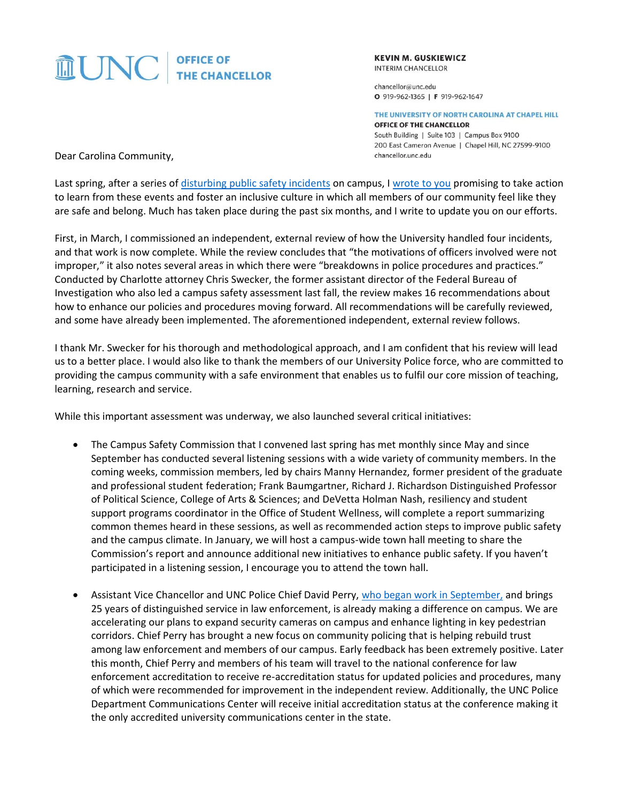# $\widehat{L}$  UNC THE CHANCELLOR

**KEVIN M. GUSKIEWICZ INTERIM CHANCELLOR** 

chancellor@unc.edu O 919-962-1365 | F 919-962-1647

THE UNIVERSITY OF NORTH CAROLINA AT CHAPEL HILL

OFFICE OF THE CHANCELLOR South Building | Suite 103 | Campus Box 9100 200 East Cameron Avenue | Chapel Hill, NC 27599-9100 chancellor.unc.edu

Dear Carolina Community,

Last spring, after a series of [disturbing public safety incidents](https://www.unc.edu/posts/2019/03/22/message-incident-on-campus/) on campus, [I wrote to you](https://www.unc.edu/posts/2019/04/22/message-campus-safety-commission/) promising to take action to learn from these events and foster an inclusive culture in which all members of our community feel like they are safe and belong. Much has taken place during the past six months, and I write to update you on our efforts.

First, in March, I commissioned an independent, external review of how the University handled four incidents, and that work is now complete. While the review concludes that "the motivations of officers involved were not improper," it also notes several areas in which there were "breakdowns in police procedures and practices." Conducted by Charlotte attorney Chris Swecker, the former assistant director of the Federal Bureau of Investigation who also led a campus safety assessment last fall, the review makes 16 recommendations about how to enhance our policies and procedures moving forward. All recommendations will be carefully reviewed, and some have already been implemented. The aforementioned independent, external review follows.

I thank Mr. Swecker for his thorough and methodological approach, and I am confident that his review will lead us to a better place. I would also like to thank the members of our University Police force, who are committed to providing the campus community with a safe environment that enables us to fulfil our core mission of teaching, learning, research and service.

While this important assessment was underway, we also launched several critical initiatives:

- The Campus Safety Commission that I convened last spring has met monthly since May and since September has conducted several listening sessions with a wide variety of community members. In the coming weeks, commission members, led by chairs Manny Hernandez, former president of the graduate and professional student federation; Frank Baumgartner, Richard J. Richardson Distinguished Professor of Political Science, College of Arts & Sciences; and DeVetta Holman Nash, resiliency and student support programs coordinator in the Office of Student Wellness, will complete a report summarizing common themes heard in these sessions, as well as recommended action steps to improve public safety and the campus climate. In January, we will host a campus-wide town hall meeting to share the Commission's report and announce additional new initiatives to enhance public safety. If you haven't participated in a listening session, I encourage you to attend the town hall.
- Assistant Vice Chancellor and UNC Police Chief David Perry, [who began work in September,](https://www.unc.edu/posts/2019/08/19/message-from-interim-chancellor-guskiewicz-on-new-assistant-vice-chancellor-and-chief-of-unc-police/) and brings 25 years of distinguished service in law enforcement, is already making a difference on campus. We are accelerating our plans to expand security cameras on campus and enhance lighting in key pedestrian corridors. Chief Perry has brought a new focus on community policing that is helping rebuild trust among law enforcement and members of our campus. Early feedback has been extremely positive. Later this month, Chief Perry and members of his team will travel to the national conference for law enforcement accreditation to receive re-accreditation status for updated policies and procedures, many of which were recommended for improvement in the independent review. Additionally, the UNC Police Department Communications Center will receive initial accreditation status at the conference making it the only accredited university communications center in the state.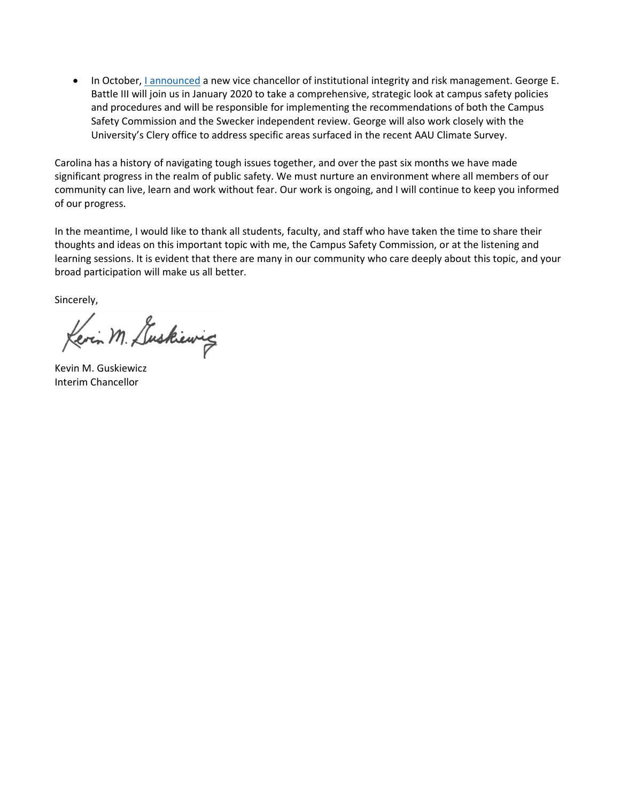• In October, *I* announced a new vice chancellor of institutional integrity and risk management. George E. Battle III will join us in January 2020 to take a comprehensive, strategic look at campus safety policies and procedures and will be responsible for implementing the recommendations of both the Campus Safety Commission and the Swecker independent review. George will also work closely with the University's Clery office to address specific areas surfaced in the recent AAU Climate Survey.

Carolina has a history of navigating tough issues together, and over the past six months we have made significant progress in the realm of public safety. We must nurture an environment where all members of our community can live, learn and work without fear. Our work is ongoing, and I will continue to keep you informed of our progress.

In the meantime, I would like to thank all students, faculty, and staff who have taken the time to share their thoughts and ideas on this important topic with me, the Campus Safety Commission, or at the listening and learning sessions. It is evident that there are many in our community who care deeply about this topic, and your broad participation will make us all better.

Sincerely,

Kevin M. Luskiewig

Kevin M. Guskiewicz Interim Chancellor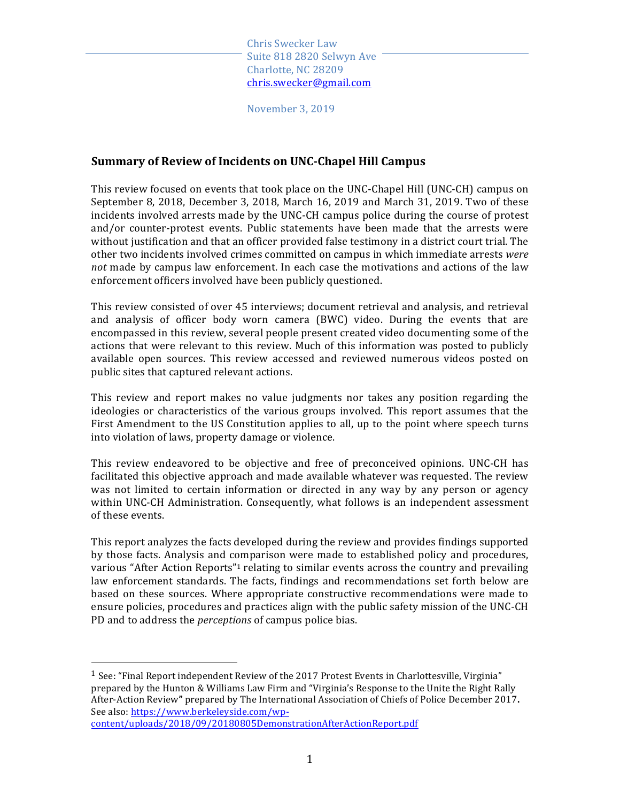November 3, 2019

# **Summary of Review of Incidents on UNC-Chapel Hill Campus**

This review focused on events that took place on the UNC-Chapel Hill (UNC-CH) campus on September 8, 2018, December 3, 2018, March 16, 2019 and March 31, 2019. Two of these incidents involved arrests made by the UNC-CH campus police during the course of protest and/or counter-protest events. Public statements have been made that the arrests were without justification and that an officer provided false testimony in a district court trial. The other two incidents involved crimes committed on campus in which immediate arrests *were not* made by campus law enforcement. In each case the motivations and actions of the law enforcement officers involved have been publicly questioned.

This review consisted of over 45 interviews; document retrieval and analysis, and retrieval and analysis of officer body worn camera (BWC) video. During the events that are encompassed in this review, several people present created video documenting some of the actions that were relevant to this review. Much of this information was posted to publicly available open sources. This review accessed and reviewed numerous videos posted on public sites that captured relevant actions.

This review and report makes no value judgments nor takes any position regarding the ideologies or characteristics of the various groups involved. This report assumes that the First Amendment to the US Constitution applies to all, up to the point where speech turns into violation of laws, property damage or violence.

This review endeavored to be objective and free of preconceived opinions. UNC-CH has facilitated this objective approach and made available whatever was requested. The review was not limited to certain information or directed in any way by any person or agency within UNC-CH Administration. Consequently, what follows is an independent assessment of these events.

This report analyzes the facts developed during the review and provides findings supported by those facts. Analysis and comparison were made to established policy and procedures, various "After Action Reports"<sup>1</sup> relating to similar events across the country and prevailing law enforcement standards. The facts, findings and recommendations set forth below are based on these sources. Where appropriate constructive recommendations were made to ensure policies, procedures and practices align with the public safety mission of the UNC-CH PD and to address the *perceptions* of campus police bias.

<sup>1</sup> See: "Final Report independent Review of the 2017 Protest Events in Charlottesville, Virginia" prepared by the Hunton & Williams Law Firm and "Virginia's Response to the Unite the Right Rally After-Action Review" prepared by The International Association of Chiefs of Police December 2017. See also: https://www.berkeleyside.com/wpcontent/uploads/2018/09/20180805DemonstrationAfterActionReport.pdf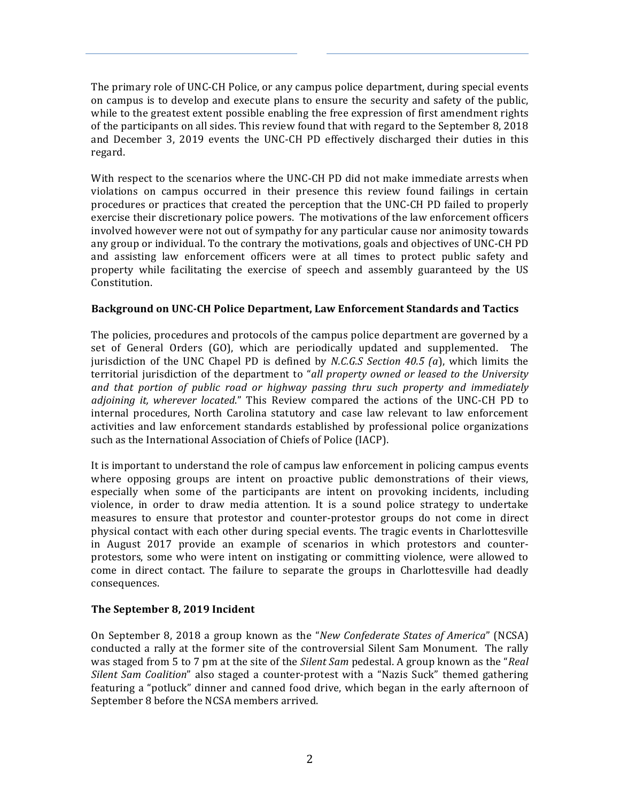The primary role of UNC-CH Police, or any campus police department, during special events on campus is to develop and execute plans to ensure the security and safety of the public, while to the greatest extent possible enabling the free expression of first amendment rights of the participants on all sides. This review found that with regard to the September 8, 2018 and December 3, 2019 events the UNC-CH PD effectively discharged their duties in this regard.

With respect to the scenarios where the UNC-CH PD did not make immediate arrests when violations on campus occurred in their presence this review found failings in certain procedures or practices that created the perception that the UNC-CH PD failed to properly exercise their discretionary police powers. The motivations of the law enforcement officers involved however were not out of sympathy for any particular cause nor animosity towards any group or individual. To the contrary the motivations, goals and objectives of UNC-CH PD and assisting law enforcement officers were at all times to protect public safety and property while facilitating the exercise of speech and assembly guaranteed by the US Constitution.

## **Background on UNC-CH Police Department, Law Enforcement Standards and Tactics**

The policies, procedures and protocols of the campus police department are governed by a set of General Orders (GO), which are periodically updated and supplemented. The jurisdiction of the UNC Chapel PD is defined by *N.C.G.S Section 40.5* (*a*), which limits the territorial jurisdiction of the department to "*all property owned or leased to the University and* that portion of public road or highway passing thru such property and immediately *adjoining it, wherever located.*" This Review compared the actions of the UNC-CH PD to internal procedures, North Carolina statutory and case law relevant to law enforcement activities and law enforcement standards established by professional police organizations such as the International Association of Chiefs of Police (IACP).

It is important to understand the role of campus law enforcement in policing campus events where opposing groups are intent on proactive public demonstrations of their views, especially when some of the participants are intent on provoking incidents, including violence, in order to draw media attention. It is a sound police strategy to undertake measures to ensure that protestor and counter-protestor groups do not come in direct physical contact with each other during special events. The tragic events in Charlottesville in August 2017 provide an example of scenarios in which protestors and counterprotestors, some who were intent on instigating or committing violence, were allowed to come in direct contact. The failure to separate the groups in Charlottesville had deadly consequences.

# The September 8, 2019 Incident

On September 8, 2018 a group known as the "*New Confederate States of America*" (NCSA) conducted a rally at the former site of the controversial Silent Sam Monument. The rally was staged from 5 to 7 pm at the site of the *Silent Sam* pedestal. A group known as the "*Real Silent Sam Coalition*" also staged a counter-protest with a "Nazis Suck" themed gathering featuring a "potluck" dinner and canned food drive, which began in the early afternoon of September 8 before the NCSA members arrived.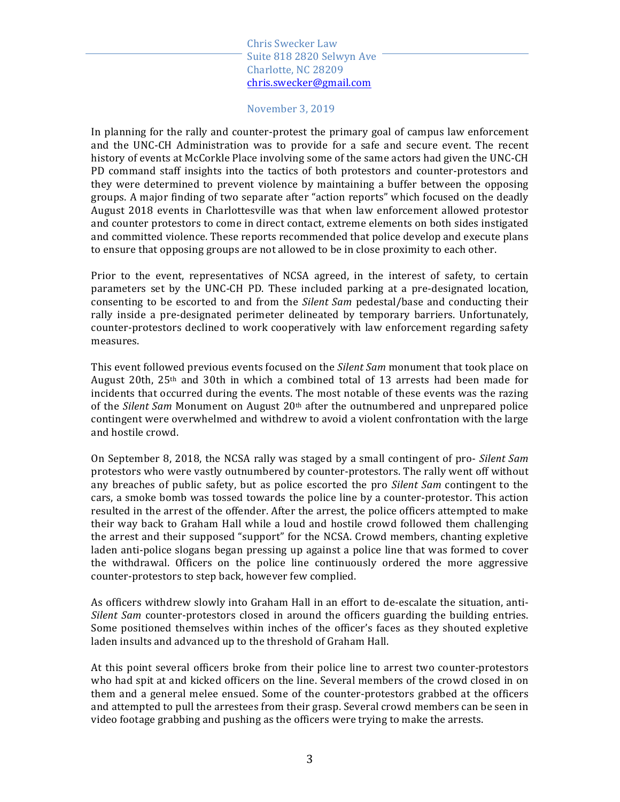#### November 3, 2019

In planning for the rally and counter-protest the primary goal of campus law enforcement and the UNC-CH Administration was to provide for a safe and secure event. The recent history of events at McCorkle Place involving some of the same actors had given the UNC-CH PD command staff insights into the tactics of both protestors and counter-protestors and they were determined to prevent violence by maintaining a buffer between the opposing groups. A major finding of two separate after "action reports" which focused on the deadly August 2018 events in Charlottesville was that when law enforcement allowed protestor and counter protestors to come in direct contact, extreme elements on both sides instigated and committed violence. These reports recommended that police develop and execute plans to ensure that opposing groups are not allowed to be in close proximity to each other.

Prior to the event, representatives of NCSA agreed, in the interest of safety, to certain parameters set by the UNC-CH PD. These included parking at a pre-designated location, consenting to be escorted to and from the *Silent Sam* pedestal/base and conducting their rally inside a pre-designated perimeter delineated by temporary barriers. Unfortunately, counter-protestors declined to work cooperatively with law enforcement regarding safety measures.

This event followed previous events focused on the *Silent Sam* monument that took place on August 20th,  $25<sup>th</sup>$  and 30th in which a combined total of 13 arrests had been made for incidents that occurred during the events. The most notable of these events was the razing of the *Silent Sam* Monument on August 20<sup>th</sup> after the outnumbered and unprepared police contingent were overwhelmed and withdrew to avoid a violent confrontation with the large and hostile crowd.

On September 8, 2018, the NCSA rally was staged by a small contingent of pro- *Silent Sam* protestors who were vastly outnumbered by counter-protestors. The rally went off without any breaches of public safety, but as police escorted the pro *Silent Sam* contingent to the cars, a smoke bomb was tossed towards the police line by a counter-protestor. This action resulted in the arrest of the offender. After the arrest, the police officers attempted to make their way back to Graham Hall while a loud and hostile crowd followed them challenging the arrest and their supposed "support" for the NCSA. Crowd members, chanting expletive laden anti-police slogans began pressing up against a police line that was formed to cover the withdrawal. Officers on the police line continuously ordered the more aggressive counter-protestors to step back, however few complied.

As officers withdrew slowly into Graham Hall in an effort to de-escalate the situation, anti-*Silent Sam* counter-protestors closed in around the officers guarding the building entries. Some positioned themselves within inches of the officer's faces as they shouted expletive laden insults and advanced up to the threshold of Graham Hall.

At this point several officers broke from their police line to arrest two counter-protestors who had spit at and kicked officers on the line. Several members of the crowd closed in on them and a general melee ensued. Some of the counter-protestors grabbed at the officers and attempted to pull the arrestees from their grasp. Several crowd members can be seen in video footage grabbing and pushing as the officers were trying to make the arrests.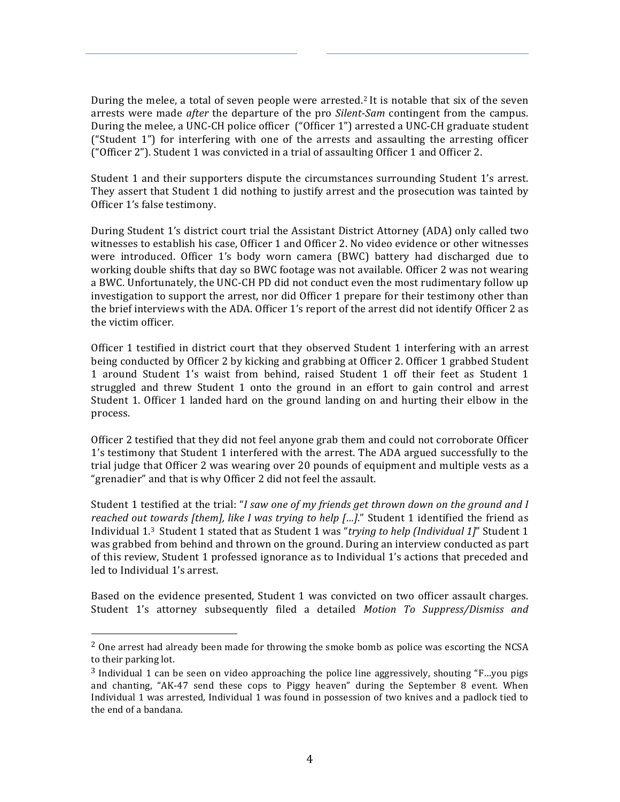During the melee, a total of seven people were arrested.<sup>2</sup> It is notable that six of the seven arrests were made *after* the departure of the pro *Silent-Sam* contingent from the campus. During the melee, a UNC-CH police officer ("Officer 1") arrested a UNC-CH graduate student ("Student  $1$ ") for interfering with one of the arrests and assaulting the arresting officer ("Officer  $2$ "). Student 1 was convicted in a trial of assaulting Officer 1 and Officer 2.

Student 1 and their supporters dispute the circumstances surrounding Student 1's arrest. They assert that Student 1 did nothing to justify arrest and the prosecution was tainted by Officer 1's false testimony.

During Student 1's district court trial the Assistant District Attorney (ADA) only called two witnesses to establish his case, Officer 1 and Officer 2. No video evidence or other witnesses were introduced. Officer 1's body worn camera (BWC) battery had discharged due to working double shifts that day so BWC footage was not available. Officer 2 was not wearing a BWC. Unfortunately, the UNC-CH PD did not conduct even the most rudimentary follow up investigation to support the arrest, nor did Officer 1 prepare for their testimony other than the brief interviews with the ADA. Officer 1's report of the arrest did not identify Officer 2 as the victim officer.

Officer 1 testified in district court that they observed Student 1 interfering with an arrest being conducted by Officer 2 by kicking and grabbing at Officer 2. Officer 1 grabbed Student 1 around Student 1's waist from behind, raised Student 1 off their feet as Student 1 struggled and threw Student 1 onto the ground in an effort to gain control and arrest Student 1. Officer 1 landed hard on the ground landing on and hurting their elbow in the process.

Officer 2 testified that they did not feel anyone grab them and could not corroborate Officer 1's testimony that Student 1 interfered with the arrest. The ADA argued successfully to the trial judge that Officer 2 was wearing over 20 pounds of equipment and multiple vests as a "grenadier" and that is why Officer 2 did not feel the assault.

Student 1 testified at the trial: "*I saw one of my friends get thrown down on the ground and I reached out towards [them], like I was trying to help [...]."* Student 1 identified the friend as Individual 1.<sup>3</sup> Student 1 stated that as Student 1 was "*trying to help (Individual 1]*" Student 1 was grabbed from behind and thrown on the ground. During an interview conducted as part of this review, Student 1 professed ignorance as to Individual 1's actions that preceded and led to Individual 1's arrest.

Based on the evidence presented, Student 1 was convicted on two officer assault charges. Student 1's attorney subsequently filed a detailed Motion To Suppress/Dismiss and

 $2$  One arrest had already been made for throwing the smoke bomb as police was escorting the NCSA to their parking lot.

 $3$  Individual 1 can be seen on video approaching the police line aggressively, shouting "F...you pigs and chanting, "AK-47 send these cops to Piggy heaven" during the September 8 event. When Individual 1 was arrested, Individual 1 was found in possession of two knives and a padlock tied to the end of a bandana.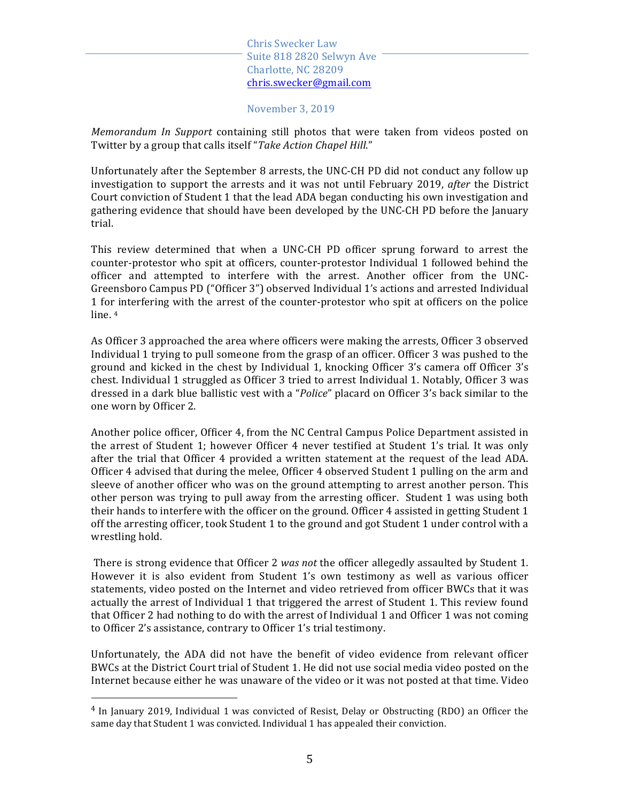November 3, 2019

*Memorandum In Support* containing still photos that were taken from videos posted on Twitter by a group that calls itself "Take Action Chapel Hill."

Unfortunately after the September 8 arrests, the UNC-CH PD did not conduct any follow up investigation to support the arrests and it was not until February 2019, *after* the District Court conviction of Student 1 that the lead ADA began conducting his own investigation and gathering evidence that should have been developed by the UNC-CH PD before the January trial. 

This review determined that when a UNC-CH PD officer sprung forward to arrest the counter-protestor who spit at officers, counter-protestor Individual 1 followed behind the officer and attempted to interfere with the arrest. Another officer from the UNC-Greensboro Campus PD ("Officer 3") observed Individual 1's actions and arrested Individual 1 for interfering with the arrest of the counter-protestor who spit at officers on the police line. 4

As Officer 3 approached the area where officers were making the arrests, Officer 3 observed Individual 1 trying to pull someone from the grasp of an officer. Officer 3 was pushed to the ground and kicked in the chest by Individual 1, knocking Officer 3's camera off Officer 3's chest. Individual 1 struggled as Officer 3 tried to arrest Individual 1. Notably, Officer 3 was dressed in a dark blue ballistic vest with a "*Police*" placard on Officer 3's back similar to the one worn by Officer 2.

Another police officer, Officer 4, from the NC Central Campus Police Department assisted in the arrest of Student 1; however Officer 4 never testified at Student 1's trial. It was only after the trial that Officer 4 provided a written statement at the request of the lead ADA. Officer 4 advised that during the melee, Officer 4 observed Student 1 pulling on the arm and sleeve of another officer who was on the ground attempting to arrest another person. This other person was trying to pull away from the arresting officer. Student 1 was using both their hands to interfere with the officer on the ground. Officer 4 assisted in getting Student 1 off the arresting officer, took Student 1 to the ground and got Student 1 under control with a wrestling hold.

There is strong evidence that Officer 2 *was not* the officer allegedly assaulted by Student 1. However it is also evident from Student 1's own testimony as well as various officer statements, video posted on the Internet and video retrieved from officer BWCs that it was actually the arrest of Individual 1 that triggered the arrest of Student 1. This review found that Officer 2 had nothing to do with the arrest of Individual 1 and Officer 1 was not coming to Officer 2's assistance, contrary to Officer 1's trial testimony.

Unfortunately, the ADA did not have the benefit of video evidence from relevant officer BWCs at the District Court trial of Student 1. He did not use social media video posted on the Internet because either he was unaware of the video or it was not posted at that time. Video

 $4$  In January 2019, Individual 1 was convicted of Resist, Delay or Obstructing (RDO) an Officer the same day that Student 1 was convicted. Individual 1 has appealed their conviction.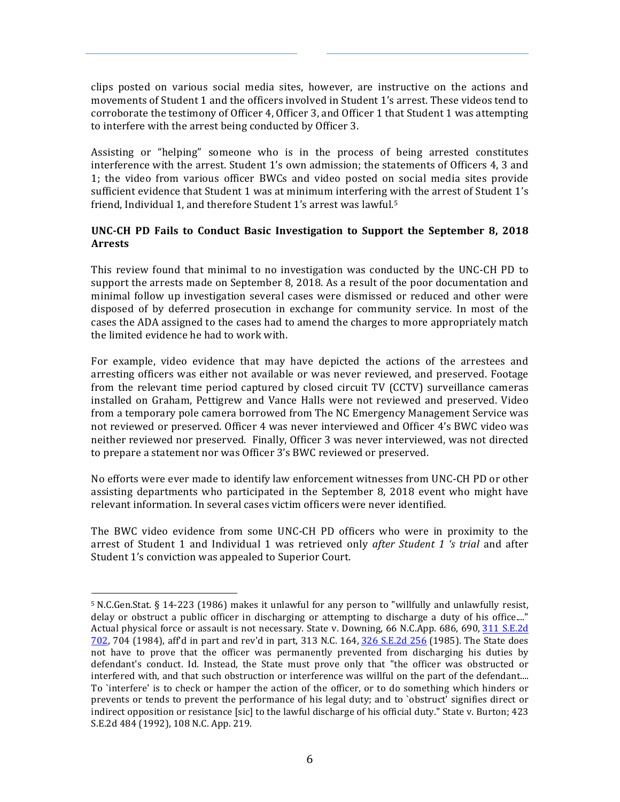clips posted on various social media sites, however, are instructive on the actions and movements of Student 1 and the officers involved in Student 1's arrest. These videos tend to corroborate the testimony of Officer 4, Officer 3, and Officer 1 that Student 1 was attempting to interfere with the arrest being conducted by Officer 3.

Assisting or "helping" someone who is in the process of being arrested constitutes interference with the arrest. Student 1's own admission; the statements of Officers 4, 3 and 1; the video from various officer BWCs and video posted on social media sites provide sufficient evidence that Student 1 was at minimum interfering with the arrest of Student 1's friend, Individual 1, and therefore Student 1's arrest was lawful.<sup>5</sup>

# UNC-CH PD Fails to Conduct Basic Investigation to Support the September 8, 2018 **Arrests**

This review found that minimal to no investigation was conducted by the UNC-CH PD to support the arrests made on September 8, 2018. As a result of the poor documentation and minimal follow up investigation several cases were dismissed or reduced and other were disposed of by deferred prosecution in exchange for community service. In most of the cases the ADA assigned to the cases had to amend the charges to more appropriately match the limited evidence he had to work with.

For example, video evidence that may have depicted the actions of the arrestees and arresting officers was either not available or was never reviewed, and preserved. Footage from the relevant time period captured by closed circuit TV (CCTV) surveillance cameras installed on Graham, Pettigrew and Vance Halls were not reviewed and preserved. Video from a temporary pole camera borrowed from The NC Emergency Management Service was not reviewed or preserved. Officer 4 was never interviewed and Officer 4's BWC video was neither reviewed nor preserved. Finally, Officer 3 was never interviewed, was not directed to prepare a statement nor was Officer 3's BWC reviewed or preserved.

No efforts were ever made to identify law enforcement witnesses from UNC-CH PD or other assisting departments who participated in the September 8, 2018 event who might have relevant information. In several cases victim officers were never identified.

The BWC video evidence from some UNC-CH PD officers who were in proximity to the arrest of Student 1 and Individual 1 was retrieved only *after Student 1 's trial* and after Student 1's conviction was appealed to Superior Court.

 $5$  N.C.Gen.Stat. § 14-223 (1986) makes it unlawful for any person to "willfully and unlawfully resist, delay or obstruct a public officer in discharging or attempting to discharge a duty of his office...." Actual physical force or assault is not necessary. State v. Downing, 66 N.C.App. 686, 690, 311 S.E.2d 702, 704 (1984), aff'd in part and rev'd in part, 313 N.C. 164, 326 S.E.2d 256 (1985). The State does not have to prove that the officer was permanently prevented from discharging his duties by defendant's conduct. Id. Instead, the State must prove only that "the officer was obstructed or interfered with, and that such obstruction or interference was willful on the part of the defendant.... To `interfere' is to check or hamper the action of the officer, or to do something which hinders or prevents or tends to prevent the performance of his legal duty; and to `obstruct' signifies direct or indirect opposition or resistance [sic] to the lawful discharge of his official duty." State v. Burton; 423 S.E.2d 484 (1992), 108 N.C. App. 219.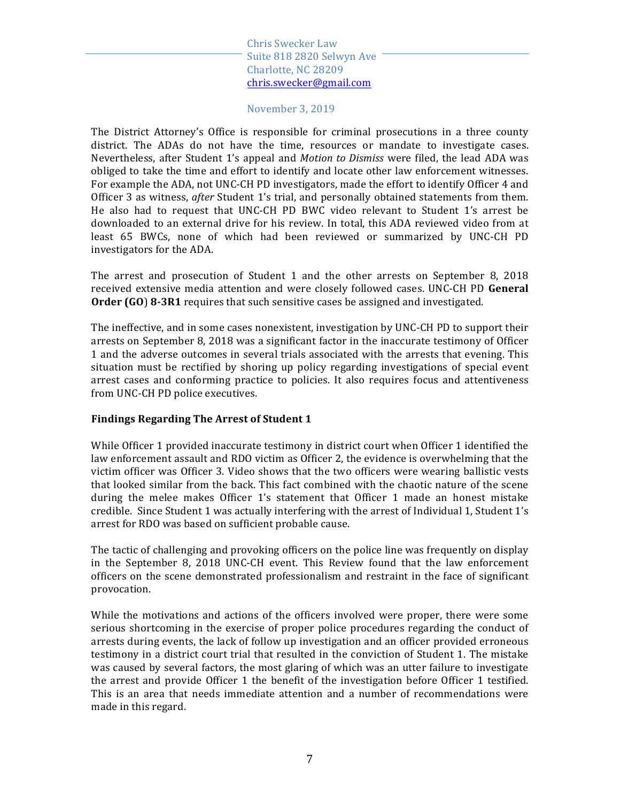#### November 3, 2019

The District Attorney's Office is responsible for criminal prosecutions in a three county district. The ADAs do not have the time, resources or mandate to investigate cases. Nevertheless, after Student 1's appeal and *Motion to Dismiss* were filed, the lead ADA was obliged to take the time and effort to identify and locate other law enforcement witnesses. For example the ADA, not UNC-CH PD investigators, made the effort to identify Officer 4 and Officer 3 as witness, *after* Student 1's trial, and personally obtained statements from them. He also had to request that UNC-CH PD BWC video relevant to Student 1's arrest be downloaded to an external drive for his review. In total, this ADA reviewed video from at least 65 BWCs, none of which had been reviewed or summarized by UNC-CH PD investigators for the ADA.

The arrest and prosecution of Student 1 and the other arrests on September 8, 2018 received extensive media attention and were closely followed cases. UNC-CH PD General **Order (GO) 8-3R1** requires that such sensitive cases be assigned and investigated.

The ineffective, and in some cases nonexistent, investigation by UNC-CH PD to support their arrests on September 8, 2018 was a significant factor in the inaccurate testimony of Officer 1 and the adverse outcomes in several trials associated with the arrests that evening. This situation must be rectified by shoring up policy regarding investigations of special event arrest cases and conforming practice to policies. It also requires focus and attentiveness from UNC-CH PD police executives.

#### **Findings Regarding The Arrest of Student 1**

While Officer 1 provided inaccurate testimony in district court when Officer 1 identified the law enforcement assault and RDO victim as Officer 2, the evidence is overwhelming that the victim officer was Officer 3. Video shows that the two officers were wearing ballistic vests that looked similar from the back. This fact combined with the chaotic nature of the scene during the melee makes Officer 1's statement that Officer 1 made an honest mistake credible. Since Student 1 was actually interfering with the arrest of Individual 1, Student 1's arrest for RDO was based on sufficient probable cause.

The tactic of challenging and provoking officers on the police line was frequently on display in the September 8, 2018 UNC-CH event. This Review found that the law enforcement officers on the scene demonstrated professionalism and restraint in the face of significant provocation. 

While the motivations and actions of the officers involved were proper, there were some serious shortcoming in the exercise of proper police procedures regarding the conduct of arrests during events, the lack of follow up investigation and an officer provided erroneous testimony in a district court trial that resulted in the conviction of Student 1. The mistake was caused by several factors, the most glaring of which was an utter failure to investigate the arrest and provide Officer 1 the benefit of the investigation before Officer 1 testified. This is an area that needs immediate attention and a number of recommendations were made in this regard.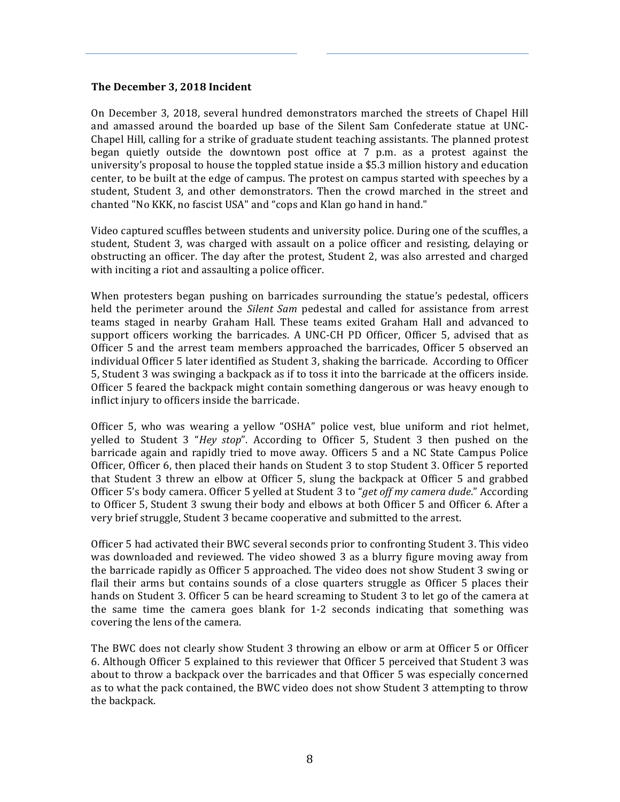### The December 3, 2018 Incident

On December 3, 2018, several hundred demonstrators marched the streets of Chapel Hill and amassed around the boarded up base of the Silent Sam Confederate statue at UNC-Chapel Hill, calling for a strike of graduate student teaching assistants. The planned protest began quietly outside the downtown post office at  $7$  p.m. as a protest against the university's proposal to house the toppled statue inside a \$5.3 million history and education center, to be built at the edge of campus. The protest on campus started with speeches by a student, Student 3, and other demonstrators. Then the crowd marched in the street and chanted "No KKK, no fascist USA" and "cops and Klan go hand in hand."

Video captured scuffles between students and university police. During one of the scuffles, a student, Student 3, was charged with assault on a police officer and resisting, delaying or obstructing an officer. The day after the protest, Student 2, was also arrested and charged with inciting a riot and assaulting a police officer.

When protesters began pushing on barricades surrounding the statue's pedestal, officers held the perimeter around the *Silent Sam* pedestal and called for assistance from arrest teams staged in nearby Graham Hall. These teams exited Graham Hall and advanced to support officers working the barricades. A UNC-CH PD Officer, Officer 5, advised that as Officer 5 and the arrest team members approached the barricades, Officer 5 observed an individual Officer 5 later identified as Student 3, shaking the barricade. According to Officer 5, Student 3 was swinging a backpack as if to toss it into the barricade at the officers inside. Officer 5 feared the backpack might contain something dangerous or was heavy enough to inflict injury to officers inside the barricade.

Officer 5, who was wearing a yellow "OSHA" police vest, blue uniform and riot helmet, yelled to Student 3 "Hey stop". According to Officer 5, Student 3 then pushed on the barricade again and rapidly tried to move away. Officers 5 and a NC State Campus Police Officer, Officer 6, then placed their hands on Student 3 to stop Student 3. Officer 5 reported that Student 3 threw an elbow at Officer 5, slung the backpack at Officer 5 and grabbed Officer 5's body camera. Officer 5 yelled at Student 3 to "*get off my camera dude*." According to Officer 5, Student 3 swung their body and elbows at both Officer 5 and Officer 6. After a very brief struggle, Student 3 became cooperative and submitted to the arrest.

Officer 5 had activated their BWC several seconds prior to confronting Student 3. This video was downloaded and reviewed. The video showed 3 as a blurry figure moving away from the barricade rapidly as Officer 5 approached. The video does not show Student 3 swing or flail their arms but contains sounds of a close quarters struggle as Officer 5 places their hands on Student 3. Officer 5 can be heard screaming to Student 3 to let go of the camera at the same time the camera goes blank for  $1-2$  seconds indicating that something was covering the lens of the camera.

The BWC does not clearly show Student 3 throwing an elbow or arm at Officer 5 or Officer 6. Although Officer 5 explained to this reviewer that Officer 5 perceived that Student 3 was about to throw a backpack over the barricades and that Officer 5 was especially concerned as to what the pack contained, the BWC video does not show Student 3 attempting to throw the backpack.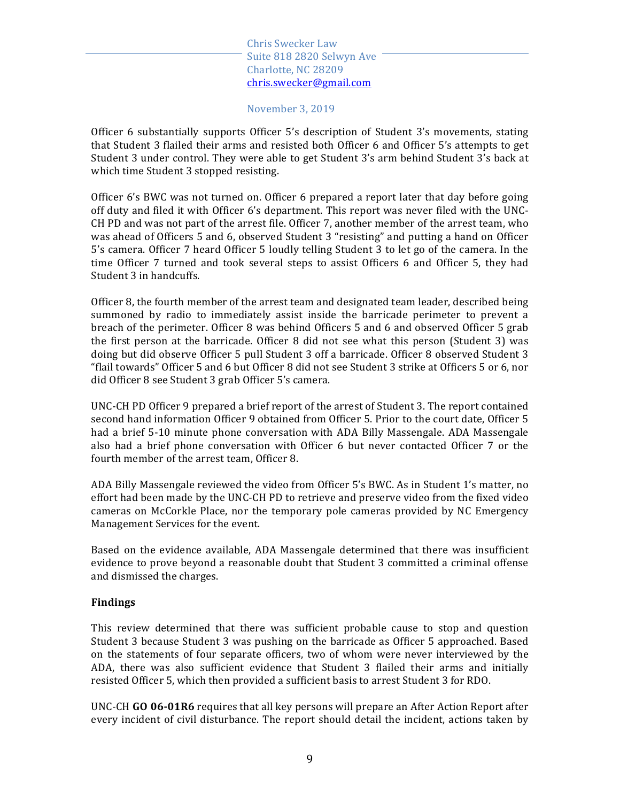November 3, 2019

Officer 6 substantially supports Officer 5's description of Student 3's movements, stating that Student 3 flailed their arms and resisted both Officer 6 and Officer 5's attempts to get Student 3 under control. They were able to get Student 3's arm behind Student 3's back at which time Student 3 stopped resisting.

Officer 6's BWC was not turned on. Officer 6 prepared a report later that day before going off duty and filed it with Officer 6's department. This report was never filed with the UNC-CH PD and was not part of the arrest file. Officer 7, another member of the arrest team, who was ahead of Officers 5 and 6, observed Student 3 "resisting" and putting a hand on Officer 5's camera. Officer 7 heard Officer 5 loudly telling Student 3 to let go of the camera. In the time Officer 7 turned and took several steps to assist Officers 6 and Officer 5, they had Student 3 in handcuffs.

Officer 8, the fourth member of the arrest team and designated team leader, described being summoned by radio to immediately assist inside the barricade perimeter to prevent a breach of the perimeter. Officer 8 was behind Officers 5 and 6 and observed Officer 5 grab the first person at the barricade. Officer  $8$  did not see what this person (Student  $3$ ) was doing but did observe Officer 5 pull Student 3 off a barricade. Officer 8 observed Student 3 "flail towards" Officer 5 and 6 but Officer 8 did not see Student 3 strike at Officers 5 or 6, nor did Officer 8 see Student 3 grab Officer 5's camera.

UNC-CH PD Officer 9 prepared a brief report of the arrest of Student 3. The report contained second hand information Officer 9 obtained from Officer 5. Prior to the court date, Officer 5 had a brief 5-10 minute phone conversation with ADA Billy Massengale. ADA Massengale also had a brief phone conversation with Officer  $6$  but never contacted Officer 7 or the fourth member of the arrest team, Officer 8.

ADA Billy Massengale reviewed the video from Officer 5's BWC. As in Student 1's matter, no effort had been made by the UNC-CH PD to retrieve and preserve video from the fixed video cameras on McCorkle Place, nor the temporary pole cameras provided by NC Emergency Management Services for the event.

Based on the evidence available, ADA Massengale determined that there was insufficient evidence to prove beyond a reasonable doubt that Student 3 committed a criminal offense and dismissed the charges.

#### **Findings**

This review determined that there was sufficient probable cause to stop and question Student 3 because Student 3 was pushing on the barricade as Officer 5 approached. Based on the statements of four separate officers, two of whom were never interviewed by the ADA, there was also sufficient evidence that Student 3 flailed their arms and initially resisted Officer 5, which then provided a sufficient basis to arrest Student 3 for RDO.

UNC-CH GO 06-01R6 requires that all key persons will prepare an After Action Report after every incident of civil disturbance. The report should detail the incident, actions taken by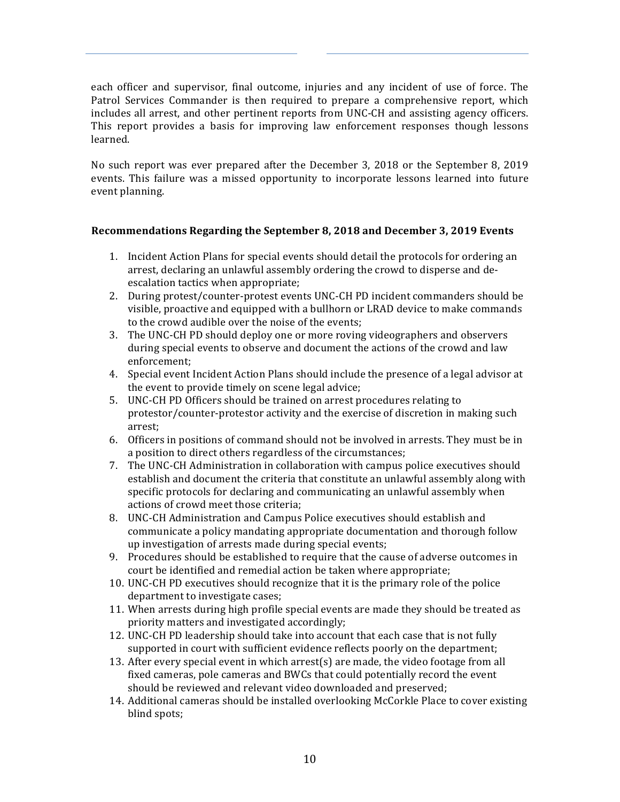each officer and supervisor, final outcome, injuries and any incident of use of force. The Patrol Services Commander is then required to prepare a comprehensive report, which includes all arrest, and other pertinent reports from UNC-CH and assisting agency officers. This report provides a basis for improving law enforcement responses though lessons learned.

No such report was ever prepared after the December 3, 2018 or the September 8, 2019 events. This failure was a missed opportunity to incorporate lessons learned into future event planning.

# **Recommendations Regarding the September 8, 2018 and December 3, 2019 Events**

- 1. Incident Action Plans for special events should detail the protocols for ordering an arrest, declaring an unlawful assembly ordering the crowd to disperse and deescalation tactics when appropriate;
- 2. During protest/counter-protest events UNC-CH PD incident commanders should be visible, proactive and equipped with a bullhorn or LRAD device to make commands to the crowd audible over the noise of the events;
- 3. The UNC-CH PD should deploy one or more roving videographers and observers during special events to observe and document the actions of the crowd and law enforcement;
- 4. Special event Incident Action Plans should include the presence of a legal advisor at the event to provide timely on scene legal advice;
- 5. UNC-CH PD Officers should be trained on arrest procedures relating to protestor/counter-protestor activity and the exercise of discretion in making such arrest;
- 6. Officers in positions of command should not be involved in arrests. They must be in a position to direct others regardless of the circumstances;
- 7. The UNC-CH Administration in collaboration with campus police executives should establish and document the criteria that constitute an unlawful assembly along with specific protocols for declaring and communicating an unlawful assembly when actions of crowd meet those criteria;
- 8. UNC-CH Administration and Campus Police executives should establish and communicate a policy mandating appropriate documentation and thorough follow up investigation of arrests made during special events;
- 9. Procedures should be established to require that the cause of adverse outcomes in court be identified and remedial action be taken where appropriate;
- 10. UNC-CH PD executives should recognize that it is the primary role of the police department to investigate cases;
- 11. When arrests during high profile special events are made they should be treated as priority matters and investigated accordingly;
- 12. UNC-CH PD leadership should take into account that each case that is not fully supported in court with sufficient evidence reflects poorly on the department;
- 13. After every special event in which arrest(s) are made, the video footage from all fixed cameras, pole cameras and BWCs that could potentially record the event should be reviewed and relevant video downloaded and preserved;
- 14. Additional cameras should be installed overlooking McCorkle Place to cover existing blind spots;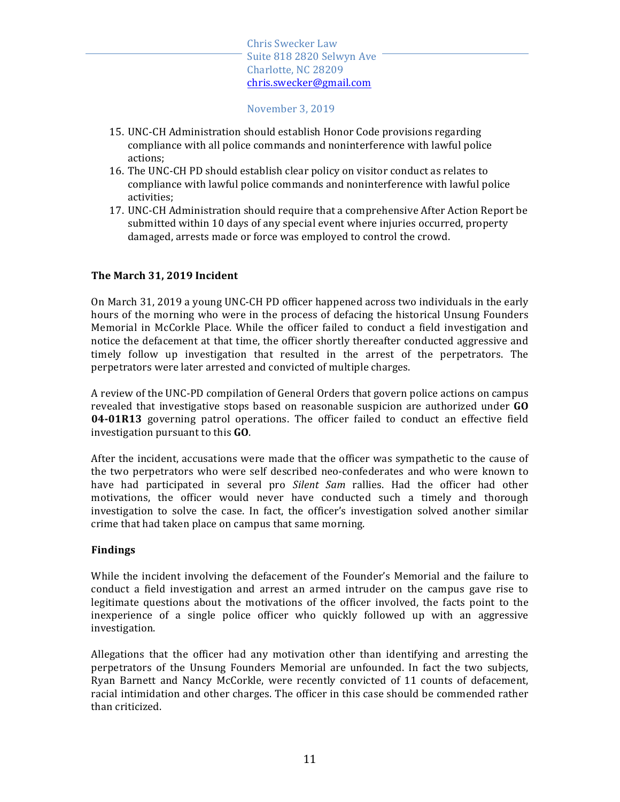November 3, 2019

- 15. UNC-CH Administration should establish Honor Code provisions regarding compliance with all police commands and noninterference with lawful police actions;
- 16. The UNC-CH PD should establish clear policy on visitor conduct as relates to compliance with lawful police commands and noninterference with lawful police activities;
- 17. UNC-CH Administration should require that a comprehensive After Action Report be submitted within 10 days of any special event where injuries occurred, property damaged, arrests made or force was employed to control the crowd.

## **The March 31, 2019 Incident**

On March 31, 2019 a young UNC-CH PD officer happened across two individuals in the early hours of the morning who were in the process of defacing the historical Unsung Founders Memorial in McCorkle Place. While the officer failed to conduct a field investigation and notice the defacement at that time, the officer shortly thereafter conducted aggressive and timely follow up investigation that resulted in the arrest of the perpetrators. The perpetrators were later arrested and convicted of multiple charges.

A review of the UNC-PD compilation of General Orders that govern police actions on campus revealed that investigative stops based on reasonable suspicion are authorized under **GO 04-01R13** governing patrol operations. The officer failed to conduct an effective field investigation pursuant to this **GO**.

After the incident, accusations were made that the officer was sympathetic to the cause of the two perpetrators who were self described neo-confederates and who were known to have had participated in several pro *Silent Sam* rallies. Had the officer had other motivations, the officer would never have conducted such a timely and thorough investigation to solve the case. In fact, the officer's investigation solved another similar crime that had taken place on campus that same morning.

#### **Findings**

While the incident involving the defacement of the Founder's Memorial and the failure to conduct a field investigation and arrest an armed intruder on the campus gave rise to legitimate questions about the motivations of the officer involved, the facts point to the inexperience of a single police officer who quickly followed up with an aggressive investigation.

Allegations that the officer had any motivation other than identifying and arresting the perpetrators of the Unsung Founders Memorial are unfounded. In fact the two subjects, Ryan Barnett and Nancy McCorkle, were recently convicted of 11 counts of defacement, racial intimidation and other charges. The officer in this case should be commended rather than criticized.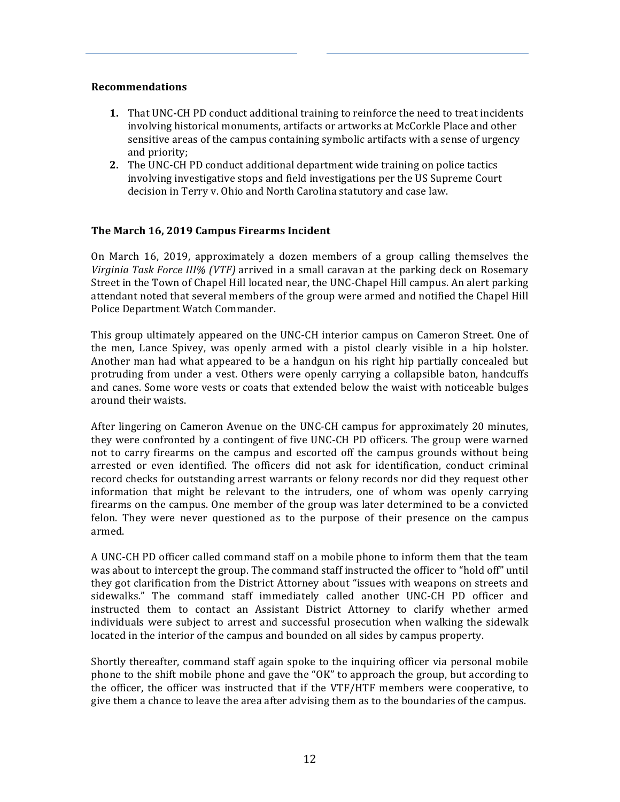### **Recommendations**

- **1.** That UNC-CH PD conduct additional training to reinforce the need to treat incidents involving historical monuments, artifacts or artworks at McCorkle Place and other sensitive areas of the campus containing symbolic artifacts with a sense of urgency and priority:
- **2.** The UNC-CH PD conduct additional department wide training on police tactics involving investigative stops and field investigations per the US Supreme Court decision in Terry v. Ohio and North Carolina statutory and case law.

## The March 16, 2019 Campus Firearms Incident

On March 16, 2019, approximately a dozen members of a group calling themselves the *Virginia Task Force III% (VTF)* arrived in a small caravan at the parking deck on Rosemary Street in the Town of Chapel Hill located near, the UNC-Chapel Hill campus. An alert parking attendant noted that several members of the group were armed and notified the Chapel Hill Police Department Watch Commander.

This group ultimately appeared on the UNC-CH interior campus on Cameron Street. One of the men, Lance Spivey, was openly armed with a pistol clearly visible in a hip holster. Another man had what appeared to be a handgun on his right hip partially concealed but protruding from under a vest. Others were openly carrying a collapsible baton, handcuffs and canes. Some wore vests or coats that extended below the waist with noticeable bulges around their waists.

After lingering on Cameron Avenue on the UNC-CH campus for approximately 20 minutes, they were confronted by a contingent of five UNC-CH PD officers. The group were warned not to carry firearms on the campus and escorted off the campus grounds without being arrested or even identified. The officers did not ask for identification, conduct criminal record checks for outstanding arrest warrants or felony records nor did they request other information that might be relevant to the intruders, one of whom was openly carrying firearms on the campus. One member of the group was later determined to be a convicted felon. They were never questioned as to the purpose of their presence on the campus armed.

A UNC-CH PD officer called command staff on a mobile phone to inform them that the team was about to intercept the group. The command staff instructed the officer to "hold off" until they got clarification from the District Attorney about "issues with weapons on streets and sidewalks." The command staff immediately called another UNC-CH PD officer and instructed them to contact an Assistant District Attorney to clarify whether armed individuals were subject to arrest and successful prosecution when walking the sidewalk located in the interior of the campus and bounded on all sides by campus property.

Shortly thereafter, command staff again spoke to the inquiring officer via personal mobile phone to the shift mobile phone and gave the "OK" to approach the group, but according to the officer, the officer was instructed that if the  $VTF/HTF$  members were cooperative, to give them a chance to leave the area after advising them as to the boundaries of the campus.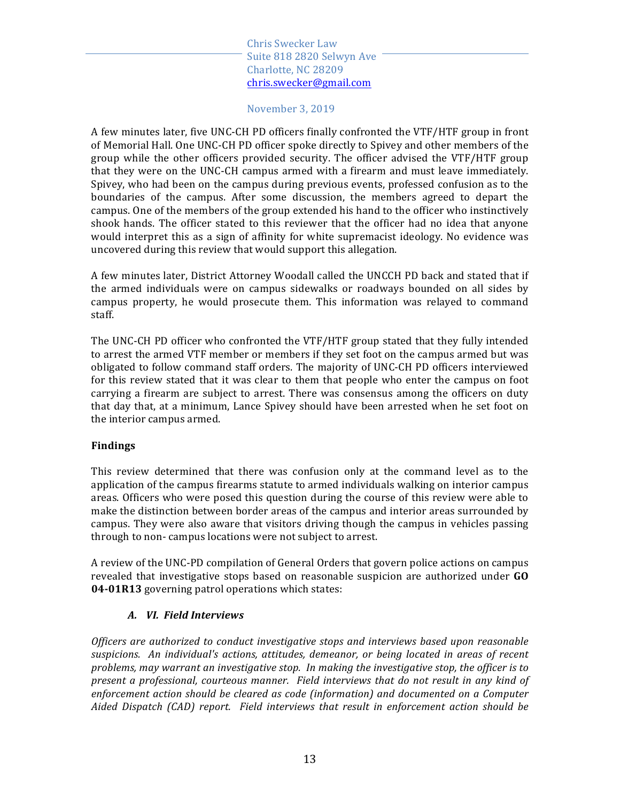November 3, 2019

A few minutes later, five UNC-CH PD officers finally confronted the VTF/HTF group in front of Memorial Hall. One UNC-CH PD officer spoke directly to Spivey and other members of the group while the other officers provided security. The officer advised the VTF/HTF group that they were on the UNC-CH campus armed with a firearm and must leave immediately. Spivey, who had been on the campus during previous events, professed confusion as to the boundaries of the campus. After some discussion, the members agreed to depart the campus. One of the members of the group extended his hand to the officer who instinctively shook hands. The officer stated to this reviewer that the officer had no idea that anyone would interpret this as a sign of affinity for white supremacist ideology. No evidence was uncovered during this review that would support this allegation.

A few minutes later, District Attorney Woodall called the UNCCH PD back and stated that if the armed individuals were on campus sidewalks or roadways bounded on all sides by campus property, he would prosecute them. This information was relayed to command staff. 

The UNC-CH PD officer who confronted the VTF/HTF group stated that they fully intended to arrest the armed VTF member or members if they set foot on the campus armed but was obligated to follow command staff orders. The majority of UNC-CH PD officers interviewed for this review stated that it was clear to them that people who enter the campus on foot carrying a firearm are subject to arrest. There was consensus among the officers on duty that day that, at a minimum, Lance Spivey should have been arrested when he set foot on the interior campus armed.

# **Findings**

This review determined that there was confusion only at the command level as to the application of the campus firearms statute to armed individuals walking on interior campus areas. Officers who were posed this question during the course of this review were able to make the distinction between border areas of the campus and interior areas surrounded by campus. They were also aware that visitors driving though the campus in vehicles passing through to non-campus locations were not subject to arrest.

A review of the UNC-PD compilation of General Orders that govern police actions on campus revealed that investigative stops based on reasonable suspicion are authorized under GO **04-01R13** governing patrol operations which states:

# *A. VI. Field Interviews*

*Officers* are authorized to conduct investigative stops and interviews based upon reasonable suspicions. An individual's actions, attitudes, demeanor, or being located in areas of recent problems, may warrant an investigative stop. In making the investigative stop, the officer is to *present a professional, courteous manner.* Field interviews that do not result in any kind of enforcement action should be cleared as code (information) and documented on a Computer Aided Dispatch (CAD) report. Field interviews that result in enforcement action should be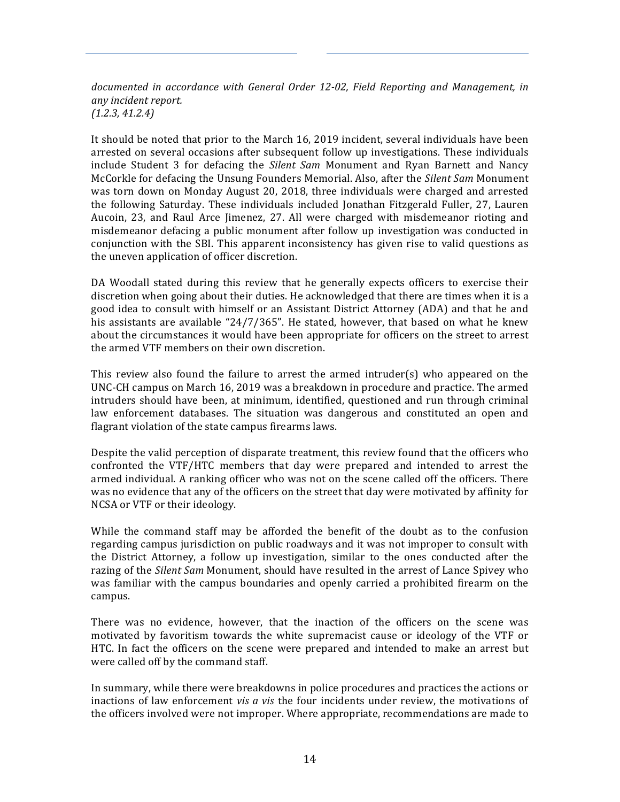documented in accordance with General Order 12-02, Field Reporting and Management, in *any incident report. (1.2.3, 41.2.4)*

It should be noted that prior to the March 16, 2019 incident, several individuals have been arrested on several occasions after subsequent follow up investigations. These individuals include Student 3 for defacing the *Silent Sam* Monument and Ryan Barnett and Nancy McCorkle for defacing the Unsung Founders Memorial. Also, after the *Silent Sam* Monument was torn down on Monday August 20, 2018, three individuals were charged and arrested the following Saturday. These individuals included Jonathan Fitzgerald Fuller, 27, Lauren Aucoin, 23, and Raul Arce Jimenez, 27. All were charged with misdemeanor rioting and misdemeanor defacing a public monument after follow up investigation was conducted in conjunction with the SBI. This apparent inconsistency has given rise to valid questions as the uneven application of officer discretion.

DA Woodall stated during this review that he generally expects officers to exercise their discretion when going about their duties. He acknowledged that there are times when it is a good idea to consult with himself or an Assistant District Attorney (ADA) and that he and his assistants are available " $24/7/365$ ". He stated, however, that based on what he knew about the circumstances it would have been appropriate for officers on the street to arrest the armed VTF members on their own discretion.

This review also found the failure to arrest the armed intruder(s) who appeared on the UNC-CH campus on March 16, 2019 was a breakdown in procedure and practice. The armed intruders should have been, at minimum, identified, questioned and run through criminal law enforcement databases. The situation was dangerous and constituted an open and flagrant violation of the state campus firearms laws.

Despite the valid perception of disparate treatment, this review found that the officers who confronted the VTF/HTC members that day were prepared and intended to arrest the armed individual. A ranking officer who was not on the scene called off the officers. There was no evidence that any of the officers on the street that day were motivated by affinity for NCSA or VTF or their ideology.

While the command staff may be afforded the benefit of the doubt as to the confusion regarding campus jurisdiction on public roadways and it was not improper to consult with the District Attorney, a follow up investigation, similar to the ones conducted after the razing of the *Silent Sam* Monument, should have resulted in the arrest of Lance Spivey who was familiar with the campus boundaries and openly carried a prohibited firearm on the campus.

There was no evidence, however, that the inaction of the officers on the scene was motivated by favoritism towards the white supremacist cause or ideology of the VTF or HTC. In fact the officers on the scene were prepared and intended to make an arrest but were called off by the command staff.

In summary, while there were breakdowns in police procedures and practices the actions or inactions of law enforcement *vis a vis* the four incidents under review, the motivations of the officers involved were not improper. Where appropriate, recommendations are made to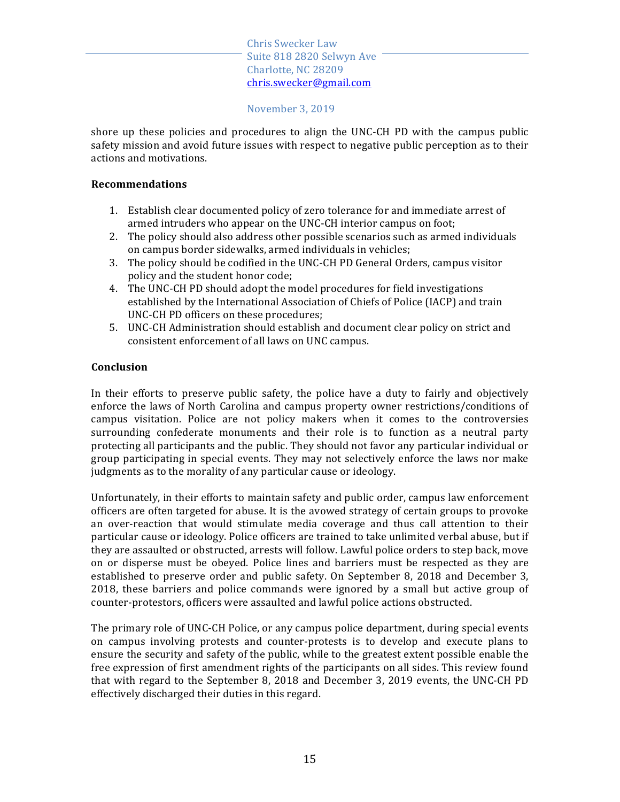November 3, 2019

shore up these policies and procedures to align the UNC-CH PD with the campus public safety mission and avoid future issues with respect to negative public perception as to their actions and motivations.

## **Recommendations**

- 1. Establish clear documented policy of zero tolerance for and immediate arrest of armed intruders who appear on the UNC-CH interior campus on foot;
- 2. The policy should also address other possible scenarios such as armed individuals on campus border sidewalks, armed individuals in vehicles;
- 3. The policy should be codified in the UNC-CH PD General Orders, campus visitor policy and the student honor code;
- 4. The UNC-CH PD should adopt the model procedures for field investigations established by the International Association of Chiefs of Police (IACP) and train UNC-CH PD officers on these procedures;
- 5. UNC-CH Administration should establish and document clear policy on strict and consistent enforcement of all laws on UNC campus.

# **Conclusion**

In their efforts to preserve public safety, the police have a duty to fairly and objectively enforce the laws of North Carolina and campus property owner restrictions/conditions of campus visitation. Police are not policy makers when it comes to the controversies surrounding confederate monuments and their role is to function as a neutral party protecting all participants and the public. They should not favor any particular individual or group participating in special events. They may not selectively enforce the laws nor make judgments as to the morality of any particular cause or ideology.

Unfortunately, in their efforts to maintain safety and public order, campus law enforcement officers are often targeted for abuse. It is the avowed strategy of certain groups to provoke an over-reaction that would stimulate media coverage and thus call attention to their particular cause or ideology. Police officers are trained to take unlimited verbal abuse, but if they are assaulted or obstructed, arrests will follow. Lawful police orders to step back, move on or disperse must be obeyed. Police lines and barriers must be respected as they are established to preserve order and public safety. On September 8, 2018 and December 3, 2018, these barriers and police commands were ignored by a small but active group of counter-protestors, officers were assaulted and lawful police actions obstructed.

The primary role of UNC-CH Police, or any campus police department, during special events on campus involving protests and counter-protests is to develop and execute plans to ensure the security and safety of the public, while to the greatest extent possible enable the free expression of first amendment rights of the participants on all sides. This review found that with regard to the September 8, 2018 and December 3, 2019 events, the UNC-CH PD effectively discharged their duties in this regard.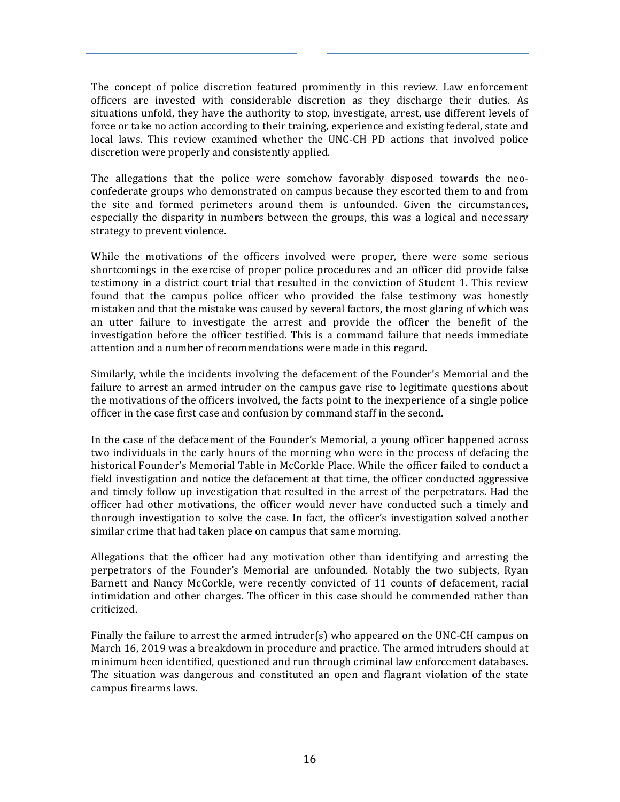The concept of police discretion featured prominently in this review. Law enforcement officers are invested with considerable discretion as they discharge their duties. As situations unfold, they have the authority to stop, investigate, arrest, use different levels of force or take no action according to their training, experience and existing federal, state and local laws. This review examined whether the UNC-CH PD actions that involved police discretion were properly and consistently applied.

The allegations that the police were somehow favorably disposed towards the neoconfederate groups who demonstrated on campus because they escorted them to and from the site and formed perimeters around them is unfounded. Given the circumstances, especially the disparity in numbers between the groups, this was a logical and necessary strategy to prevent violence.

While the motivations of the officers involved were proper, there were some serious shortcomings in the exercise of proper police procedures and an officer did provide false testimony in a district court trial that resulted in the conviction of Student 1. This review found that the campus police officer who provided the false testimony was honestly mistaken and that the mistake was caused by several factors, the most glaring of which was an utter failure to investigate the arrest and provide the officer the benefit of the investigation before the officer testified. This is a command failure that needs immediate attention and a number of recommendations were made in this regard.

Similarly, while the incidents involving the defacement of the Founder's Memorial and the failure to arrest an armed intruder on the campus gave rise to legitimate questions about the motivations of the officers involved, the facts point to the inexperience of a single police officer in the case first case and confusion by command staff in the second.

In the case of the defacement of the Founder's Memorial, a young officer happened across two individuals in the early hours of the morning who were in the process of defacing the historical Founder's Memorial Table in McCorkle Place. While the officer failed to conduct a field investigation and notice the defacement at that time, the officer conducted aggressive and timely follow up investigation that resulted in the arrest of the perpetrators. Had the officer had other motivations, the officer would never have conducted such a timely and thorough investigation to solve the case. In fact, the officer's investigation solved another similar crime that had taken place on campus that same morning.

Allegations that the officer had any motivation other than identifying and arresting the perpetrators of the Founder's Memorial are unfounded. Notably the two subjects, Ryan Barnett and Nancy McCorkle, were recently convicted of 11 counts of defacement, racial intimidation and other charges. The officer in this case should be commended rather than criticized.

Finally the failure to arrest the armed intruder(s) who appeared on the UNC-CH campus on March 16, 2019 was a breakdown in procedure and practice. The armed intruders should at minimum been identified, questioned and run through criminal law enforcement databases. The situation was dangerous and constituted an open and flagrant violation of the state campus firearms laws.